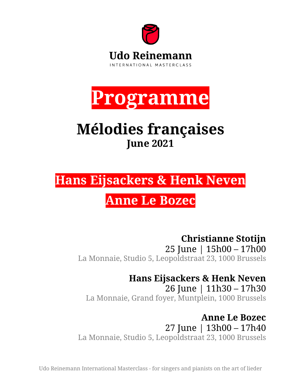



# **Mélodies françaises June 2021**

**Hans Eijsackers & Henk Neven**

# **Anne Le Bozec**

**Christianne Stotijn**  25 June | 15h00 – 17h00 La Monnaie, Studio 5, Leopoldstraat 23, 1000 Brussels

**Hans Eijsackers & Henk Neven**

26 June | 11h30 – 17h30 La Monnaie, Grand foyer, Muntplein, 1000 Brussels

**Anne Le Bozec** 27 June | 13h00 – 17h40 La Monnaie, Studio 5, Leopoldstraat 23, 1000 Brussels

Udo Reinemann International Masterclass - for singers and pianists on the art of lieder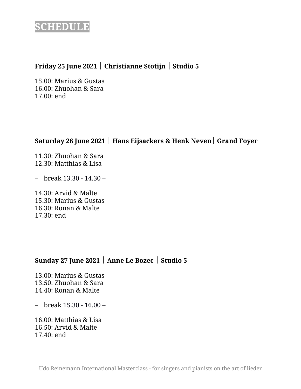### **Friday 25 June 2021** ½ **Christianne Stotijn** ½ **Studio 5**

15.00: Marius & Gustas 16.00: Zhuohan & Sara 17.00: end

## **Saturday 26 June 2021** ½ **Hans Eijsackers & Henk Neven**½ **Grand Foyer**

\_\_\_\_\_\_\_\_\_\_\_\_\_\_\_\_\_\_\_\_\_\_\_\_\_\_\_\_\_\_\_\_\_\_\_\_\_\_\_\_\_\_\_\_\_\_\_\_\_\_\_\_\_\_\_\_\_\_\_\_\_\_\_\_\_\_\_\_\_\_\_\_\_\_\_\_\_\_

11.30: Zhuohan & Sara 12.30: Matthias & Lisa

– break 13.30 - 14.30 –

14.30: Arvid & Malte 15.30: Marius & Gustas 16.30: Ronan & Malte 17.30: end

### **Sunday 27 June 2021** ½ **Anne Le Bozec** ½ **Studio 5**

13.00: Marius & Gustas 13.50: Zhuohan & Sara 14.40: Ronan & Malte

– break 15.30 - 16.00 –

16.00: Matthias & Lisa 16.50: Arvid & Malte 17.40: end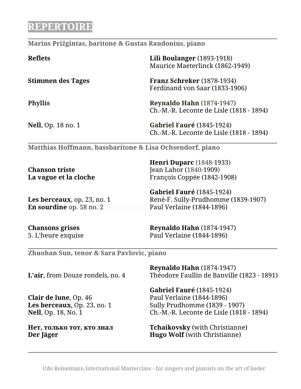# **REPERTOIRE**

#### **Marius Prižgintas, baritone & Gustas Raudonius, piano**

| <b>Reflets</b>             | <b>Lili Boulanger</b> (1893-1918)<br>Maurice Maeterlinck (1862-1949)         |
|----------------------------|------------------------------------------------------------------------------|
| <b>Stimmen des Tages</b>   | <b>Franz Schreker</b> (1878-1934)<br>Ferdinand von Saar (1833-1906)          |
| <b>Phyllis</b>             | <b>Reynaldo Hahn</b> (1874-1947)<br>Ch.-M.-R. Leconte de Lisle (1818 - 1894) |
| <b>Nell</b> , Op. 18 no. 1 | <b>Gabriel Fauré (1845-1924)</b><br>Ch.-M.-R. Leconte de Lisle (1818 - 1894) |

\_\_\_\_\_\_\_\_\_\_\_\_\_\_\_\_\_\_\_\_\_\_\_\_\_\_\_\_\_\_\_\_\_\_\_\_\_\_\_\_\_\_\_\_\_\_\_\_\_\_\_\_\_\_\_\_\_\_\_\_\_\_\_\_\_\_\_\_\_\_\_\_\_\_\_\_\_\_\_\_\_\_\_\_\_

\_\_\_\_\_\_\_\_\_\_\_\_\_\_\_\_\_\_\_\_\_\_\_\_\_\_\_\_\_\_\_\_\_\_\_\_\_\_\_\_\_\_\_\_\_\_\_\_\_\_\_\_\_\_\_\_\_\_\_\_\_\_\_\_\_\_\_\_\_\_\_\_\_\_\_\_\_\_\_\_\_\_\_\_\_

**Matthias Hoffmann, bassbaritone & Lisa Ochsendorf, piano**

|                       | <b>Henri Duparc</b> (1848-1933) |
|-----------------------|---------------------------------|
| <b>Chanson triste</b> | Jean Lahor (1840-1909)          |
| La vague et la cloche | François Coppée (1842-1908)     |
|                       |                                 |

**En sourdine** op. 58 no. 2 Paul Verlaine (1844-1896)

**Gabriel Fauré** (1845-1924) Les berceaux, op. 23, no. 1 René-F. Sully-Prudhomme (1839-1907)

**Chansons grises Reynaldo Hahn** (1874-1947) 5. L'heure exquise Paul Verlaine (1844-1896)

**Zhuohan Sun, tenor & Sara Pavlovic, piano**

| <b>Reynaldo Hahn</b> (1874-1947)<br>Théodore Faullin de Banville (1823 - 1891) |
|--------------------------------------------------------------------------------|
| <b>Gabriel Fauré (1845-1924)</b>                                               |
| Paul Verlaine (1844-1896)                                                      |
| Sully Prudhomme (1839 - 1907)                                                  |
| Ch.-M.-R. Leconte de Lisle (1818 - 1894)                                       |
| <b>Tchaikovsky</b> (with Christianne)<br><b>Hugo Wolf</b> (with Christianne)   |
|                                                                                |

\_\_\_\_\_\_\_\_\_\_\_\_\_\_\_\_\_\_\_\_\_\_\_\_\_\_\_\_\_\_\_\_\_\_\_\_\_\_\_\_\_\_\_\_\_\_\_\_\_\_\_\_\_\_\_\_\_\_\_\_\_\_\_\_\_\_\_\_\_\_\_\_\_\_\_\_\_\_\_\_\_\_\_\_\_

 $\_$  , and the set of the set of the set of the set of the set of the set of the set of the set of the set of the set of the set of the set of the set of the set of the set of the set of the set of the set of the set of th